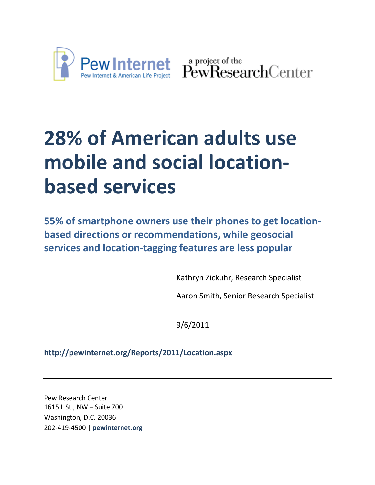

a project of the<br>PewResearchCenter

# **28% of American adults use mobile and social locationbased services**

**55% of smartphone owners use their phones to get locationbased directions or recommendations, while geosocial services and location-tagging features are less popular**

Kathryn Zickuhr, Research Specialist

Aaron Smith, Senior Research Specialist

9/6/2011

**http://pewinternet.org/Reports/2011/Location.aspx**

Pew Research Center 1615 L St., NW – Suite 700 Washington, D.C. 20036 202-419-4500 | **pewinternet.org**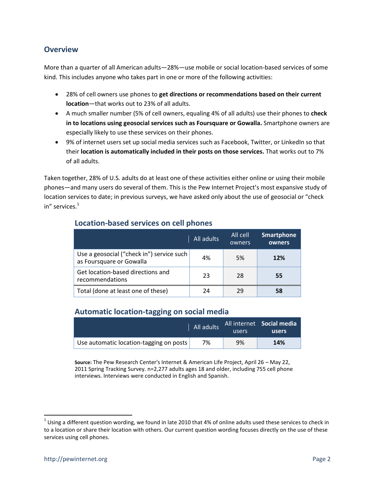#### **Overview**

More than a quarter of all American adults—28%—use mobile or social location-based services of some kind. This includes anyone who takes part in one or more of the following activities:

- 28% of cell owners use phones to **get directions or recommendations based on their current location**—that works out to 23% of all adults.
- A much smaller number (5% of cell owners, equaling 4% of all adults) use their phones to **check in to locations using geosocial services such as Foursquare or Gowalla.** Smartphone owners are especially likely to use these services on their phones.
- 9% of internet users set up social media services such as Facebook, Twitter, or LinkedIn so that their **location is automatically included in their posts on those services.** That works out to 7% of all adults.

Taken together, 28% of U.S. adults do at least one of these activities either online or using their mobile phones—and many users do several of them. This is the Pew Internet Project's most expansive study of location services to date; in previous surveys, we have asked only about the use of geosocial or "check in" services.<sup>1</sup>

|                                                                       | All adults | All cell<br>owners | <b>Smartphone</b><br>owners |
|-----------------------------------------------------------------------|------------|--------------------|-----------------------------|
| Use a geosocial ("check in") service such<br>as Foursquare or Gowalla | 4%         | 5%                 | 12%                         |
| Get location-based directions and<br>recommendations                  | 23         | 28                 | 55                          |
| Total (done at least one of these)                                    | 24         | 29                 | 58                          |

#### **Location-based services on cell phones**

#### **Automatic location-tagging on social media**

|                                         | All adults | users | All internet Social media<br>users |
|-----------------------------------------|------------|-------|------------------------------------|
| Use automatic location-tagging on posts | 7%         | 9%    | 14%                                |

**Source:** The Pew Research Center's Internet & American Life Project, April 26 – May 22, 2011 Spring Tracking Survey. n=2,277 adults ages 18 and older, including 755 cell phone interviews. Interviews were conducted in English and Spanish.

 $\overline{\phantom{a}}$ 

 $^1$  Using a different question wording, we found in late 2010 that 4% of online adults used these services to check in to a location or share their location with others. Our current question wording focuses directly on the use of these services using cell phones.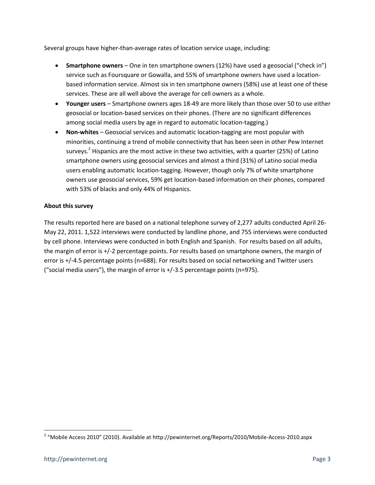Several groups have higher-than-average rates of location service usage, including:

- **Smartphone owners** One in ten smartphone owners (12%) have used a geosocial ("check in") service such as Foursquare or Gowalla, and 55% of smartphone owners have used a locationbased information service. Almost six in ten smartphone owners (58%) use at least one of these services. These are all well above the average for cell owners as a whole.
- **Younger users** Smartphone owners ages 18-49 are more likely than those over 50 to use either geosocial or location-based services on their phones. (There are no significant differences among social media users by age in regard to automatic location-tagging.)
- **Non-whites** Geosocial services and automatic location-tagging are most popular with minorities, continuing a trend of mobile connectivity that has been seen in other Pew Internet surveys.<sup>2</sup> Hispanics are the most active in these two activities, with a quarter (25%) of Latino smartphone owners using geosocial services and almost a third (31%) of Latino social media users enabling automatic location-tagging. However, though only 7% of white smartphone owners use geosocial services, 59% get location-based information on their phones, compared with 53% of blacks and only 44% of Hispanics.

#### **About this survey**

The results reported here are based on a national telephone survey of 2,277 adults conducted April 26- May 22, 2011. 1,522 interviews were conducted by landline phone, and 755 interviews were conducted by cell phone. Interviews were conducted in both English and Spanish. For results based on all adults, the margin of error is +/-2 percentage points. For results based on smartphone owners, the margin of error is +/-4.5 percentage points (n=688). For results based on social networking and Twitter users ("social media users"), the margin of error is  $+/-3.5$  percentage points (n=975).

 $\overline{\phantom{a}}$ 

<sup>&</sup>lt;sup>2</sup> "Mobile Access 2010" (2010). Available at http://pewinternet.org/Reports/2010/Mobile-Access-2010.aspx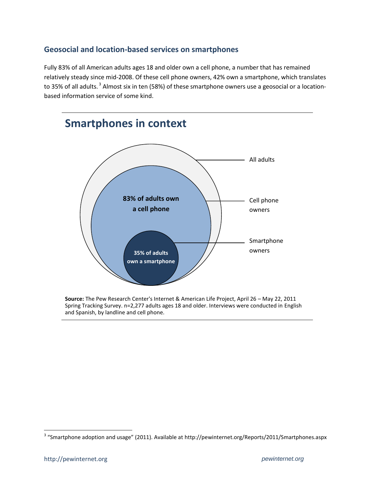#### **Geosocial and location-based services on smartphones**

Fully 83% of all American adults ages 18 and older own a cell phone, a number that has remained relatively steady since mid-2008. Of these cell phone owners, 42% own a smartphone, which translates to 35% of all adults. <sup>3</sup> Almost six in ten (58%) of these smartphone owners use a geosocial or a locationbased information service of some kind.



**Source:** The Pew Research Center's Internet & American Life Project, April 26 – May 22, 2011 Spring Tracking Survey. n=2,277 adults ages 18 and older. Interviews were conducted in English and Spanish, by landline and cell phone.

 $\overline{\phantom{a}}$ 

 $3$  "Smartphone adoption and usage" (2011). Available at http://pewinternet.org/Reports/2011/Smartphones.aspx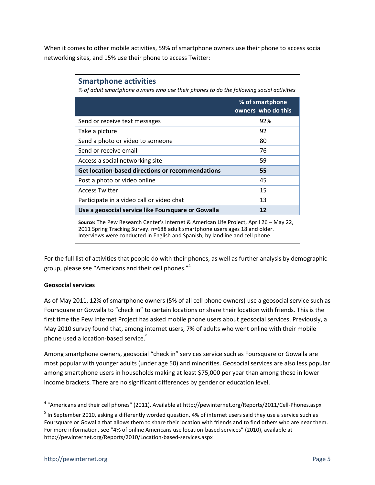When it comes to other mobile activities, 59% of smartphone owners use their phone to access social networking sites, and 15% use their phone to access Twitter:

#### **Smartphone activities**

*% of adult smartphone owners who use their phones to do the following social activities*

|                                                         | % of smartphone<br>owners who do this |
|---------------------------------------------------------|---------------------------------------|
| Send or receive text messages                           | 92%                                   |
| Take a picture                                          | 92                                    |
| Send a photo or video to someone                        | 80                                    |
| Send or receive email                                   | 76                                    |
| Access a social networking site                         | 59                                    |
| <b>Get location-based directions or recommendations</b> | 55                                    |
| Post a photo or video online                            | 45                                    |
| <b>Access Twitter</b>                                   | 15                                    |
| Participate in a video call or video chat               | 13                                    |
| Use a geosocial service like Foursquare or Gowalla      | 12                                    |

**Source:** The Pew Research Center's Internet & American Life Project, April 26 – May 22, 2011 Spring Tracking Survey. n=688 adult smartphone users ages 18 and older. Interviews were conducted in English and Spanish, by landline and cell phone.

For the full list of activities that people do with their phones, as well as further analysis by demographic group, please see "Americans and their cell phones." 4

#### **Geosocial services**

As of May 2011, 12% of smartphone owners (5% of all cell phone owners) use a geosocial service such as Foursquare or Gowalla to "check in" to certain locations or share their location with friends. This is the first time the Pew Internet Project has asked mobile phone users about geosocial services. Previously, a May 2010 survey found that, among internet users, 7% of adults who went online with their mobile phone used a location-based service.<sup>5</sup>

Among smartphone owners, geosocial "check in" services service such as Foursquare or Gowalla are most popular with younger adults (under age 50) and minorities. Geosocial services are also less popular among smartphone users in households making at least \$75,000 per year than among those in lower income brackets. There are no significant differences by gender or education level.

 4 "Americans and their cell phones" (2011). Available at http://pewinternet.org/Reports/2011/Cell-Phones.aspx

 $^5$  In September 2010, asking a differently worded question, 4% of internet users said they use a service such as Foursquare or Gowalla that allows them to share their location with friends and to find others who are near them. For more information, see "4% of online Americans use location-based services" (2010), available at http://pewinternet.org/Reports/2010/Location-based-services.aspx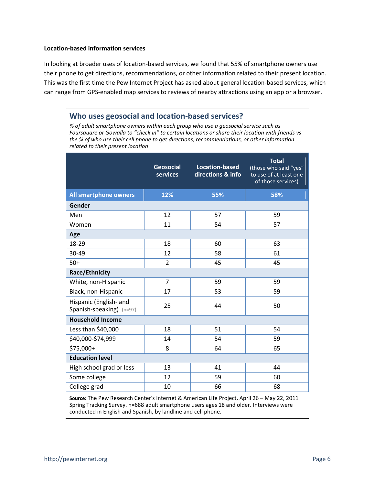#### **Location-based information services**

In looking at broader uses of location-based services, we found that 55% of smartphone owners use their phone to get directions, recommendations, or other information related to their present location. This was the first time the Pew Internet Project has asked about general location-based services, which can range from GPS-enabled map services to reviews of nearby attractions using an app or a browser.

#### **Who uses geosocial and location-based services?**

*% of adult smartphone owners within each group who use a geosocial service such as Foursquare or Gowalla to "check in" to certain locations or share their location with friends vs the % of who use their cell phone to get directions, recommendations, or other information related to their present location*

|                                                    | <b>Geosocial</b><br><b>services</b> | <b>Location-based</b><br>directions & info | <b>Total</b><br>(those who said "yes"<br>to use of at least one<br>of those services) |  |
|----------------------------------------------------|-------------------------------------|--------------------------------------------|---------------------------------------------------------------------------------------|--|
| <b>All smartphone owners</b>                       | 12%                                 | 55%                                        | 58%                                                                                   |  |
| Gender                                             |                                     |                                            |                                                                                       |  |
| Men                                                | 12                                  | 57                                         | 59                                                                                    |  |
| Women                                              | 11                                  | 54                                         | 57                                                                                    |  |
| Age                                                |                                     |                                            |                                                                                       |  |
| 18-29                                              | 18                                  | 60                                         | 63                                                                                    |  |
| 30-49                                              | 12                                  | 58                                         | 61                                                                                    |  |
| $50+$                                              | $\overline{2}$                      | 45                                         | 45                                                                                    |  |
| Race/Ethnicity                                     |                                     |                                            |                                                                                       |  |
| White, non-Hispanic                                | $\overline{7}$                      | 59                                         | 59                                                                                    |  |
| Black, non-Hispanic                                | 17                                  | 53                                         | 59                                                                                    |  |
| Hispanic (English- and<br>Spanish-speaking) (n=97) | 25                                  | 44                                         | 50                                                                                    |  |
| <b>Household Income</b>                            |                                     |                                            |                                                                                       |  |
| Less than \$40,000                                 | 18                                  | 51                                         | 54                                                                                    |  |
| \$40,000-\$74,999                                  | 14                                  | 54                                         | 59                                                                                    |  |
| \$75,000+                                          | 8                                   | 64                                         | 65                                                                                    |  |
| <b>Education level</b>                             |                                     |                                            |                                                                                       |  |
| High school grad or less                           | 13                                  | 41                                         | 44                                                                                    |  |
| Some college                                       | 12                                  | 59                                         | 60                                                                                    |  |
| College grad                                       | 10                                  | 66                                         | 68                                                                                    |  |

**Source:** The Pew Research Center's Internet & American Life Project, April 26 – May 22, 2011 Spring Tracking Survey. n=688 adult smartphone users ages 18 and older. Interviews were conducted in English and Spanish, by landline and cell phone.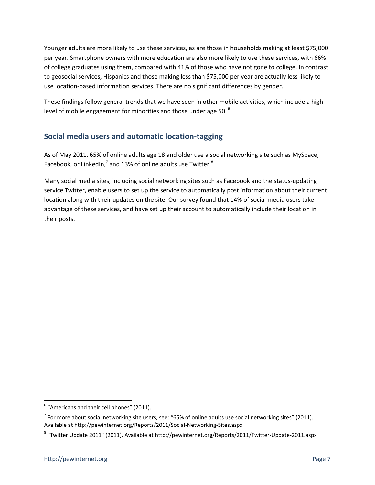Younger adults are more likely to use these services, as are those in households making at least \$75,000 per year. Smartphone owners with more education are also more likely to use these services, with 66% of college graduates using them, compared with 41% of those who have not gone to college. In contrast to geosocial services, Hispanics and those making less than \$75,000 per year are actually less likely to use location-based information services. There are no significant differences by gender.

These findings follow general trends that we have seen in other mobile activities, which include a high level of mobile engagement for minorities and those under age 50.<sup>6</sup>

#### **Social media users and automatic location-tagging**

As of May 2011, 65% of online adults age 18 and older use a social networking site such as MySpace, Facebook, or LinkedIn,<sup>7</sup> and 13% of online adults use Twitter.<sup>8</sup>

Many social media sites, including social networking sites such as Facebook and the status-updating service Twitter, enable users to set up the service to automatically post information about their current location along with their updates on the site. Our survey found that 14% of social media users take advantage of these services, and have set up their account to automatically include their location in their posts.

 $\overline{a}$ 

 $<sup>6</sup>$  "Americans and their cell phones" (2011).</sup>

 $^7$  For more about social networking site users, see: "65% of online adults use social networking sites" (2011). Available at http://pewinternet.org/Reports/2011/Social-Networking-Sites.aspx

<sup>&</sup>lt;sup>8</sup> "Twitter Update 2011" (2011). Available at http://pewinternet.org/Reports/2011/Twitter-Update-2011.aspx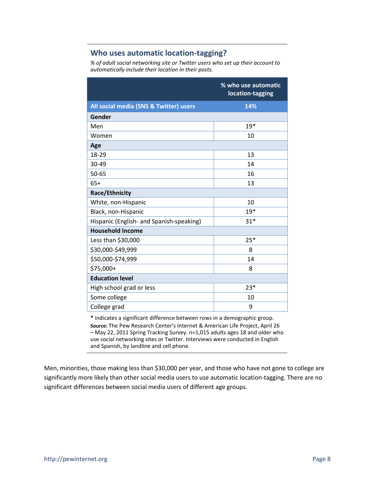#### **Who uses automatic location-tagging?**

*% of adult social networking site or Twitter users who set up their account to automatically include their location in their posts.*

|                                          | % who use automatic<br>location-tagging |  |
|------------------------------------------|-----------------------------------------|--|
| All social media (SNS & Twitter) users   | 14%                                     |  |
| Gender                                   |                                         |  |
| Men                                      | $19*$                                   |  |
| Women                                    | 10                                      |  |
| Age                                      |                                         |  |
| 18-29                                    | 13                                      |  |
| 30-49                                    | 14                                      |  |
| 50-65                                    | 16                                      |  |
| $65+$                                    | 13                                      |  |
| <b>Race/Ethnicity</b>                    |                                         |  |
| White, non-Hispanic                      | 10                                      |  |
| $19*$<br>Black, non-Hispanic             |                                         |  |
| Hispanic (English- and Spanish-speaking) | $31*$                                   |  |
| <b>Household Income</b>                  |                                         |  |
| Less than \$30,000                       | $25*$                                   |  |
| \$30,000-\$49,999                        | 8                                       |  |
| \$50,000-\$74,999                        | 14                                      |  |
| \$75,000+<br>8                           |                                         |  |
| <b>Education level</b>                   |                                         |  |
| High school grad or less<br>$23*$        |                                         |  |
| Some college                             | 10                                      |  |
| College grad<br>9                        |                                         |  |

**\*** indicates a significant difference between rows in a demographic group. **Source:** The Pew Research Center's Internet & American Life Project, April 26 – May 22, 2011 Spring Tracking Survey. n=1,015 adults ages 18 and older who use social networking sites or Twitter. Interviews were conducted in English and Spanish, by landline and cell phone.

Men, minorities, those making less than \$30,000 per year, and those who have not gone to college are significantly more likely than other social media users to use automatic location-tagging. There are no significant differences between social media users of different age groups.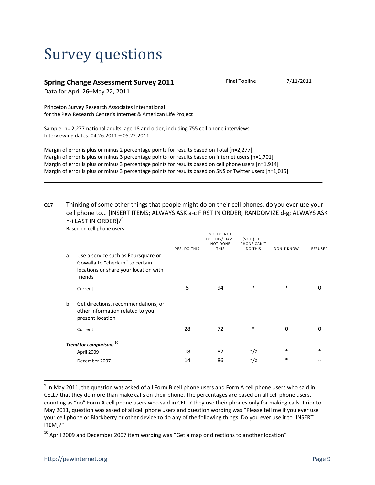### Survey questions

#### **Spring Change Assessment Survey 2011** Final Topline 7/11/2011

Data for April 26–May 22, 2011

Princeton Survey Research Associates International for the Pew Research Center's Internet & American Life Project

Sample: n= 2,277 national adults, age 18 and older, including 755 cell phone interviews Interviewing dates: 04.26.2011 – 05.22.2011

Margin of error is plus or minus 2 percentage points for results based on Total [n=2,277] Margin of error is plus or minus 3 percentage points for results based on internet users [n=1,701] Margin of error is plus or minus 3 percentage points for results based on cell phone users [n=1,914] Margin of error is plus or minus 3 percentage points for results based on SNS or Twitter users [n=1,015]

#### **Q17** Thinking of some other things that people might do on their cell phones, do you ever use your cell phone to... [INSERT ITEMS; ALWAYS ASK a-c FIRST IN ORDER; RANDOMIZE d-g; ALWAYS ASK h-i LAST IN ORDER]?<sup>9</sup>

Based on cell phone users

|    |                                                                                                                             | YES, DO THIS | NO, DO NOT<br>DO THIS/ HAVE<br>NOT DONE<br><b>THIS</b> | (VOL.) CELL<br>PHONE CAN'T<br>DO THIS | DON'T KNOW | <b>REFUSED</b> |
|----|-----------------------------------------------------------------------------------------------------------------------------|--------------|--------------------------------------------------------|---------------------------------------|------------|----------------|
| a. | Use a service such as Foursquare or<br>Gowalla to "check in" to certain<br>locations or share your location with<br>friends |              |                                                        |                                       |            |                |
|    | Current                                                                                                                     | 5            | 94                                                     | *                                     | $\ast$     | 0              |
| b. | Get directions, recommendations, or<br>other information related to your<br>present location                                |              |                                                        |                                       |            |                |
|    | Current                                                                                                                     | 28           | 72                                                     | *                                     | 0          | 0              |
|    | Trend for comparison: 10                                                                                                    |              |                                                        |                                       |            |                |
|    | April 2009                                                                                                                  | 18           | 82                                                     | n/a                                   | $\ast$     | $\ast$         |
|    | December 2007                                                                                                               | 14           | 86                                                     | n/a                                   | $\ast$     |                |

 $^9$  In May 2011, the question was asked of all Form B cell phone users and Form A cell phone users who said in CELL7 that they do more than make calls on their phone. The percentages are based on all cell phone users, counting as "no" Form A cell phone users who said in CELL7 they use their phones only for making calls. Prior to May 2011, question was asked of all cell phone users and question wording was "Please tell me if you ever use your cell phone or Blackberry or other device to do any of the following things. Do you ever use it to [INSERT ITEM]?"

 $\overline{a}$ 

 $10$  April 2009 and December 2007 item wording was "Get a map or directions to another location"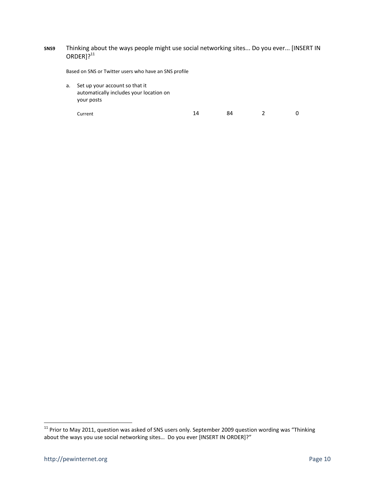#### **SNS9** Thinking about the ways people might use social networking sites... Do you ever... [INSERT IN  $ORDER$ ]? $^{11}$

Based on SNS or Twitter users who have an SNS profile

a. Set up your account so that it automatically includes your location on your posts

Current 2 0

l

 $^{11}$  Prior to May 2011, question was asked of SNS users only. September 2009 question wording was "Thinking about the ways you use social networking sites... Do you ever [INSERT IN ORDER]?"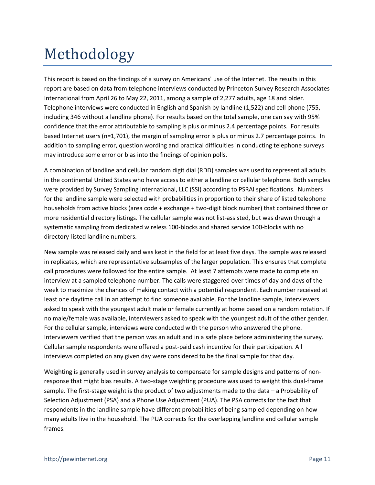## Methodology

This report is based on the findings of a survey on Americans' use of the Internet. The results in this report are based on data from telephone interviews conducted by Princeton Survey Research Associates International from April 26 to May 22, 2011, among a sample of 2,277 adults, age 18 and older. Telephone interviews were conducted in English and Spanish by landline (1,522) and cell phone (755, including 346 without a landline phone). For results based on the total sample, one can say with 95% confidence that the error attributable to sampling is plus or minus 2.4 percentage points. For results based Internet users (n=1,701), the margin of sampling error is plus or minus 2.7 percentage points. In addition to sampling error, question wording and practical difficulties in conducting telephone surveys may introduce some error or bias into the findings of opinion polls.

A combination of landline and cellular random digit dial (RDD) samples was used to represent all adults in the continental United States who have access to either a landline or cellular telephone. Both samples were provided by Survey Sampling International, LLC (SSI) according to PSRAI specifications. Numbers for the landline sample were selected with probabilities in proportion to their share of listed telephone households from active blocks (area code + exchange + two-digit block number) that contained three or more residential directory listings. The cellular sample was not list-assisted, but was drawn through a systematic sampling from dedicated wireless 100-blocks and shared service 100-blocks with no directory-listed landline numbers.

New sample was released daily and was kept in the field for at least five days. The sample was released in replicates, which are representative subsamples of the larger population. This ensures that complete call procedures were followed for the entire sample. At least 7 attempts were made to complete an interview at a sampled telephone number. The calls were staggered over times of day and days of the week to maximize the chances of making contact with a potential respondent. Each number received at least one daytime call in an attempt to find someone available. For the landline sample, interviewers asked to speak with the youngest adult male or female currently at home based on a random rotation. If no male/female was available, interviewers asked to speak with the youngest adult of the other gender. For the cellular sample, interviews were conducted with the person who answered the phone. Interviewers verified that the person was an adult and in a safe place before administering the survey. Cellular sample respondents were offered a post-paid cash incentive for their participation. All interviews completed on any given day were considered to be the final sample for that day.

Weighting is generally used in survey analysis to compensate for sample designs and patterns of nonresponse that might bias results. A two-stage weighting procedure was used to weight this dual-frame sample. The first-stage weight is the product of two adjustments made to the data – a Probability of Selection Adjustment (PSA) and a Phone Use Adjustment (PUA). The PSA corrects for the fact that respondents in the landline sample have different probabilities of being sampled depending on how many adults live in the household. The PUA corrects for the overlapping landline and cellular sample frames.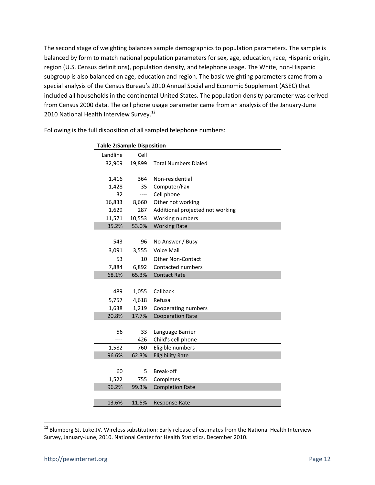The second stage of weighting balances sample demographics to population parameters. The sample is balanced by form to match national population parameters for sex, age, education, race, Hispanic origin, region (U.S. Census definitions), population density, and telephone usage. The White, non-Hispanic subgroup is also balanced on age, education and region. The basic weighting parameters came from a special analysis of the Census Bureau's 2010 Annual Social and Economic Supplement (ASEC) that included all households in the continental United States. The population density parameter was derived from Census 2000 data. The cell phone usage parameter came from an analysis of the January-June 2010 National Health Interview Survey.<sup>12</sup>

| <b>Table 2:Sample Disposition</b> |        |                                  |  |
|-----------------------------------|--------|----------------------------------|--|
| Landline                          | Cell   |                                  |  |
| 32,909                            | 19,899 | <b>Total Numbers Dialed</b>      |  |
|                                   |        |                                  |  |
| 1,416                             | 364    | Non-residential                  |  |
| 1,428                             | 35     | Computer/Fax                     |  |
| 32                                | ----   | Cell phone                       |  |
| 16,833                            | 8,660  | Other not working                |  |
| 1,629                             | 287    | Additional projected not working |  |
| 11,571                            | 10,553 | Working numbers                  |  |
| 35.2%                             | 53.0%  | <b>Working Rate</b>              |  |
|                                   |        |                                  |  |
| 543                               | 96     | No Answer / Busy                 |  |
| 3,091                             | 3,555  | <b>Voice Mail</b>                |  |
| 53                                | 10     | <b>Other Non-Contact</b>         |  |
| 7,884                             | 6,892  | Contacted numbers                |  |
| 68.1%                             | 65.3%  | <b>Contact Rate</b>              |  |
|                                   |        |                                  |  |
| 489                               | 1,055  | Callback                         |  |
| 5,757                             | 4,618  | Refusal                          |  |
| 1,638                             | 1,219  | Cooperating numbers              |  |
| 20.8%                             | 17.7%  | <b>Cooperation Rate</b>          |  |
|                                   |        |                                  |  |
| 56                                | 33     | Language Barrier                 |  |
|                                   | 426    | Child's cell phone               |  |
| 1,582                             | 760    | Eligible numbers                 |  |
| 96.6%                             | 62.3%  | <b>Eligibility Rate</b>          |  |
|                                   |        |                                  |  |
| 60                                | 5      | Break-off                        |  |
| 1,522                             | 755    | Completes                        |  |
| 96.2%                             | 99.3%  | <b>Completion Rate</b>           |  |
|                                   |        |                                  |  |
| 13.6%                             | 11.5%  | <b>Response Rate</b>             |  |

Following is the full disposition of all sampled telephone numbers:

l

 $^{12}$  Blumberg SJ, Luke JV. Wireless substitution: Early release of estimates from the National Health Interview Survey, January-June, 2010. National Center for Health Statistics. December 2010.